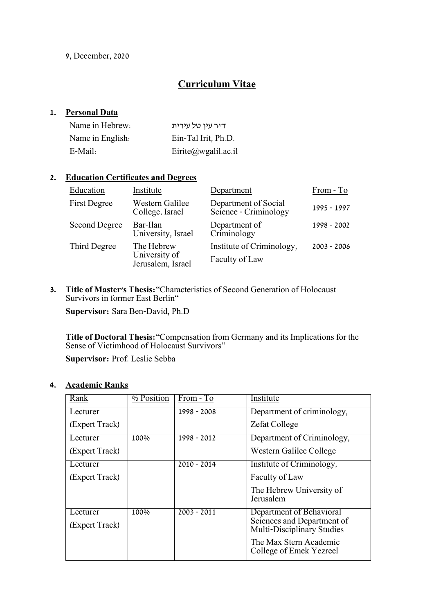9, December, 2020

# **Curriculum Vitae**

### **1. Personal Data**

| Name in Hebrew:  | דייר עין טל עירית   |
|------------------|---------------------|
| Name in English. | Ein-Tal Irit, Ph.D. |
| E-Mail:          | Eirite@wgalil.ac.il |

### **2. Education Certificates and Degrees**

| Education            | Institute                                        | Department                                    | From - To     |
|----------------------|--------------------------------------------------|-----------------------------------------------|---------------|
| <b>First Degree</b>  | Western Galilee<br>College, Israel               | Department of Social<br>Science - Criminology | 1995 - 1997   |
| <b>Second Degree</b> | Bar-Ilan<br>University, Israel                   | Department of<br>Criminology                  | 1998 - 2002   |
| Third Degree         | The Hebrew<br>University of<br>Jerusalem, Israel | Institute of Criminology,<br>Faculty of Law   | $2003 - 2006$ |

**3. Title of Master's Thesis:**"Characteristics of Second Generation of Holocaust Survivors in former East Berlin"

**Supervisor:** Sara Ben-David, Ph.D

**Title of Doctoral Thesis:**"Compensation from Germany and its Implications for the Sense of Victimhood of Holocaust Survivors"

**Supervisor:** Prof. Leslie Sebba

### **4. Academic Ranks**

| Rank           | % Position | From - To     | Institute                                                       |
|----------------|------------|---------------|-----------------------------------------------------------------|
| Lecturer       |            | 1998 - 2008   | Department of criminology,                                      |
| (Expert Track) |            |               | <b>Zefat College</b>                                            |
| Lecturer       | 100%       | 1998 - 2012   | Department of Criminology,                                      |
| (Expert Track) |            |               | Western Galilee College                                         |
| Lecturer       |            | $2010 - 2014$ | Institute of Criminology,                                       |
| (Expert Track) |            |               | Faculty of Law                                                  |
|                |            |               | The Hebrew University of<br>Jerusalem                           |
| Lecturer       | 100%       | $2003 - 2011$ | Department of Behavioral                                        |
| (Expert Track) |            |               | Sciences and Department of<br><b>Multi-Disciplinary Studies</b> |
|                |            |               | The Max Stern Academic<br>College of Emek Yezreel               |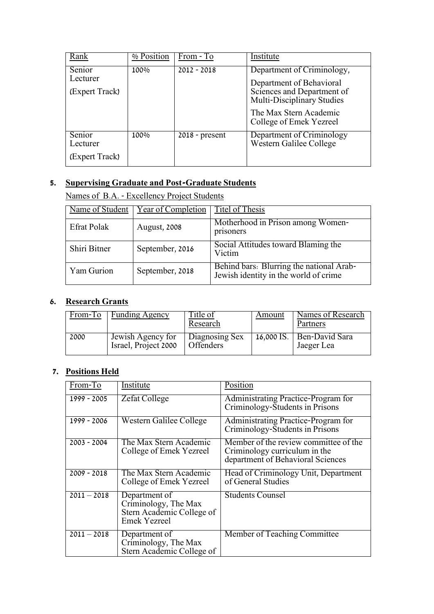| Rank                                 | % Position | From - To        | Institute                                                                                                                                                                      |
|--------------------------------------|------------|------------------|--------------------------------------------------------------------------------------------------------------------------------------------------------------------------------|
| Senior<br>Lecturer<br>(Expert Track) | 100%       | $2012 - 2018$    | Department of Criminology,<br>Department of Behavioral<br>Sciences and Department of<br><b>Multi-Disciplinary Studies</b><br>The Max Stern Academic<br>College of Emek Yezreel |
| Senior<br>Lecturer<br>(Expert Track) | 100%       | $2018$ - present | Department of Criminology<br>Western Galilee College                                                                                                                           |

# **5. Supervising Graduate and Post-Graduate Students**

Names of B.A. - Excellency Project Students

| Name of Student    | <b>Year of Completion</b> | Titel of Thesis                                                                   |
|--------------------|---------------------------|-----------------------------------------------------------------------------------|
| <b>Efrat Polak</b> | August, 2008              | Motherhood in Prison among Women-<br>prisoners                                    |
| Shiri Bitner       | September, 2016           | Social Attitudes toward Blaming the<br>Victim                                     |
| Yam Gurion         | September, 2018           | Behind bars: Blurring the national Arab-<br>Jewish identity in the world of crime |

# **6. Research Grants**

| From-To | Funding Agency                            | <u>Title of</u><br>Research        | Amount | Names of Research<br>Partners             |
|---------|-------------------------------------------|------------------------------------|--------|-------------------------------------------|
| 2000    | Jewish Agency for<br>Israel, Project 2000 | Diagnosing Sex<br><b>Offenders</b> |        | 16,000 IS.   Ben-David Sara<br>Jaeger Lea |

# **7. Positions Held**

| From-To       | Institute                                                                                 | Position                                                                                                    |
|---------------|-------------------------------------------------------------------------------------------|-------------------------------------------------------------------------------------------------------------|
| 1999 - 2005   | <b>Zefat College</b>                                                                      | Administrating Practice-Program for<br>Criminology-Students in Prisons                                      |
| 1999 - 2006   | Western Galilee College                                                                   | Administrating Practice-Program for<br>Criminology-Students in Prisons                                      |
| $2003 - 2004$ | The Max Stern Academic<br>College of Emek Yezreel                                         | Member of the review committee of the<br>Criminology curriculum in the<br>department of Behavioral Sciences |
| $2009 - 2018$ | The Max Stern Academic<br>College of Emek Yezreel                                         | Head of Criminology Unit, Department<br>of General Studies                                                  |
| $2011 - 2018$ | Department of<br>Criminology, The Max<br>Stern Academic College of<br><b>Emek Yezreel</b> | <b>Students Counsel</b>                                                                                     |
| $2011 - 2018$ | Department of<br>Criminology, The Max<br>Stern Academic College of                        | Member of Teaching Committee                                                                                |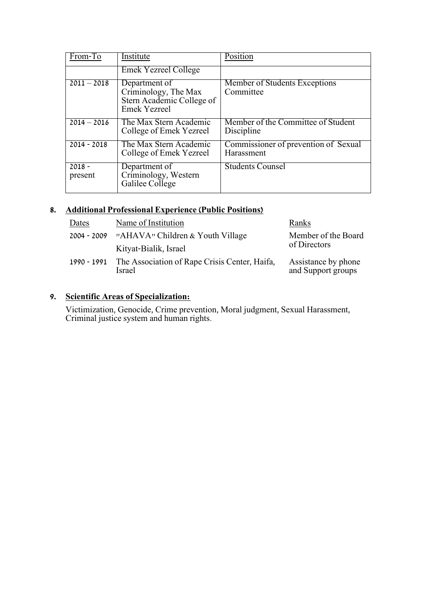| From-To             | Institute                                                                                 | Position                                           |
|---------------------|-------------------------------------------------------------------------------------------|----------------------------------------------------|
|                     | <b>Emek Yezreel College</b>                                                               |                                                    |
| $2011 - 2018$       | Department of<br>Criminology, The Max<br>Stern Academic College of<br><b>Emek Yezreel</b> | Member of Students Exceptions<br>Committee         |
| $2014 - 2016$       | The Max Stern Academic<br>College of Emek Yezreel                                         | Member of the Committee of Student<br>Discipline   |
| $2014 - 2018$       | The Max Stern Academic<br>College of Emek Yezreel                                         | Commissioner of prevention of Sexual<br>Harassment |
| $2018 -$<br>present | Department of<br>Criminology, Western<br>Galilee College                                  | <b>Students Counsel</b>                            |

## **8. Additional Professional Experience (Public Positions)**

| Dates       | Name of Institution                                     | Ranks                                     |  |
|-------------|---------------------------------------------------------|-------------------------------------------|--|
| 2004 - 2009 | "AHAVA" Children & Youth Village                        | Member of the Board                       |  |
|             | Kityat-Bialik, Israel                                   | of Directors                              |  |
| 1990 - 1991 | The Association of Rape Crisis Center, Haifa,<br>Israel | Assistance by phone<br>and Support groups |  |

# **9. Scientific Areas of Specialization:**

Victimization, Genocide, Crime prevention, Moral judgment, Sexual Harassment, Criminal justice system and human rights.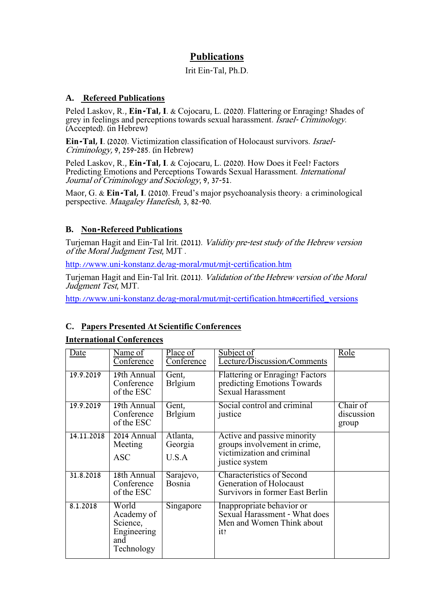# **Publications**

### Irit Ein-Tal, Ph.D.

## **A. Refereed Publications**

Peled Laskov, R., **Ein-Tal, I**. & Cojocaru, L. (2020). Flattering or Enraging? Shades of grey in feelings and perceptions towards sexual harassment. Israel- Criminology. (Accepted). (in Hebrew)

**Ein-Tal, I**. (2020). Victimization classification of Holocaust survivors. Israel-Criminology, 9, 259-285. (in Hebrew)

Peled Laskov, R., **Ein-Tal, I**. & Cojocaru, L. (2020). How Does it Feel? Factors Predicting Emotions and Perceptions Towards Sexual Harassment. International Journal of Criminology and Sociology, 9, 37-51.

Maor, G. & **Ein-Tal, I**. (2010). Freud's major psychoanalysis theory: a criminological perspective. Maagaley Hanefesh, 3, 82-90.

## **B. Non-Refereed Publications**

Turjeman Hagit and Ein-Tal Irit. (2011). Validity pre-test study of the Hebrew version of the Moral Judgment Test, MJT .

<http://www.uni-konstanz.de/ag-moral/mut/mjt-certification.htm>

Turjeman Hagit and Ein-Tal Irit. (2011). Validation of the Hebrew version of the Moral Judgment Test, MJT.

[http://www.uni-konstanz.de/ag-moral/mut/mjt-certification.htm#certified\\_versions](http://www.uni-konstanz.de/ag-moral/mut/mjt-certification.htm#certified_versions)

## **C. Papers Presented At Scientific Conferences**

#### **International Conferences**

| Date       | Name of<br>Conference                                               | Place of<br>Conference       | Subject of<br>Lecture/Discussion/Comments                                                                   | Role                            |
|------------|---------------------------------------------------------------------|------------------------------|-------------------------------------------------------------------------------------------------------------|---------------------------------|
| 19.9.2019  | 19th Annual<br>Conference<br>of the ESC                             | Gent,<br><b>Brlgium</b>      | <b>Flattering or Enraging? Factors</b><br>predicting Emotions Towards<br>Sexual Harassment                  |                                 |
| 19.9.2019  | $19th$ Annual<br>Conference<br>of the ESC                           | Gent,<br><b>Brlgium</b>      | Social control and criminal<br>justice                                                                      | Chair of<br>discussion<br>group |
| 14.11.2018 | 2014 Annual<br>Meeting<br><b>ASC</b>                                | Atlanta,<br>Georgia<br>U.S.A | Active and passive minority<br>groups involvement in crime,<br>victimization and criminal<br>justice system |                                 |
| 31.8.2018  | 18th Annual<br>Conference<br>of the ESC                             | Sarajevo,<br><b>Bosnia</b>   | <b>Characteristics of Second</b><br>Generation of Holocaust<br>Survivors in former East Berlin              |                                 |
| 8.1.2018   | World<br>Academy of<br>Science,<br>Engineering<br>and<br>Technology | Singapore                    | Inappropriate behavior or<br>Sexual Harassment - What does<br>Men and Women Think about<br>it?              |                                 |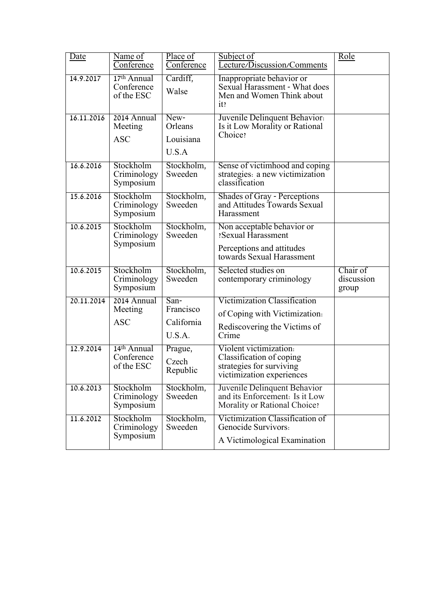| <u>Date</u> | Name of<br>Conference                   | Place of<br>Conference                    | Subject of<br>Lecture/Discussion/Comments                                                                        | <u>Role</u>                     |
|-------------|-----------------------------------------|-------------------------------------------|------------------------------------------------------------------------------------------------------------------|---------------------------------|
| 14.9.2017   | 17th Annual<br>Conference<br>of the ESC | Cardiff,<br>Walse                         | Inappropriate behavior or<br>Sexual Harassment - What does<br>Men and Women Think about<br>it?                   |                                 |
| 16.11.2016  | 2014 Annual<br>Meeting<br><b>ASC</b>    | New-<br>Orleans<br>Louisiana<br>U.S.A     | Juvenile Delinquent Behavior.<br>Is it Low Morality or Rational<br>Choice?                                       |                                 |
| 16.6.2016   | Stockholm<br>Criminology<br>Symposium   | Stockholm,<br>Sweeden                     | Sense of victimhood and coping<br>strategies: a new victimization<br>classification                              |                                 |
| 15.6.2016   | Stockholm<br>Criminology<br>Symposium   | Stockholm,<br>Sweeden                     | Shades of Gray - Perceptions<br>and Attitudes Towards Sexual<br>Harassment                                       |                                 |
| 10.6.2015   | Stockholm<br>Criminology<br>Symposium   | Stockholm,<br>Sweeden                     | Non acceptable behavior or<br><b>Sexual Harassment</b><br>Perceptions and attitudes<br>towards Sexual Harassment |                                 |
| 10.6.2015   | Stockholm<br>Criminology<br>Symposium   | Stockholm,<br>Sweeden                     | Selected studies on<br>contemporary criminology                                                                  | Chair of<br>discussion<br>group |
| 20.11.2014  | 2014 Annual<br>Meeting<br><b>ASC</b>    | San-<br>Francisco<br>California<br>U.S.A. | Victimization Classification<br>of Coping with Victimization.<br>Rediscovering the Victims of<br>Crime           |                                 |
| 12.9.2014   | 14th Annual<br>Conference<br>of the ESC | Prague,<br>Czech<br>Republic              | Violent victimization.<br>Classification of coping<br>strategies for surviving<br>victimization experiences      |                                 |
| 10.6.2013   | Stockholm<br>Criminology<br>Symposium   | Stockholm,<br>Sweeden                     | Juvenile Delinquent Behavior<br>and its Enforcement: Is it Low<br>Morality or Rational Choice?                   |                                 |
| 11.6.2012   | Stockholm<br>Criminology<br>Symposium   | Stockholm,<br>Sweeden                     | Victimization Classification of<br>Genocide Survivors:<br>A Victimological Examination                           |                                 |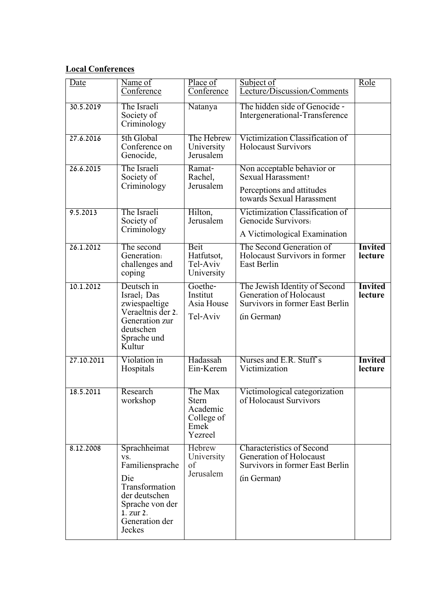## **Local Conferences**

| <u>Date</u> | Name of<br>Conference                                                                                                                        | Place of<br>Conference                                               | Subject of<br>Lecture/Discussion/Comments                                                                            | Role                      |
|-------------|----------------------------------------------------------------------------------------------------------------------------------------------|----------------------------------------------------------------------|----------------------------------------------------------------------------------------------------------------------|---------------------------|
| 30.5.2019   | The Israeli<br>Society of<br>Criminology                                                                                                     | Natanya                                                              | The hidden side of Genocide -<br>Intergenerational-Transference                                                      |                           |
| 27.6.2016   | 5th Global<br>Conference on<br>Genocide,                                                                                                     | The Hebrew<br>University<br>Jerusalem                                | Victimization Classification of<br><b>Holocaust Survivors</b>                                                        |                           |
| 26.6.2015   | The Israeli<br>Society of<br>Criminology                                                                                                     | Ramat-<br>Rachel,<br>Jerusalem                                       | Non acceptable behavior or<br><b>Sexual Harassment?</b><br>Perceptions and attitudes<br>towards Sexual Harassment    |                           |
| 9.5.2013    | The Israeli<br>Society of<br>Criminology                                                                                                     | Hilton,<br>Jerusalem                                                 | Victimization Classification of<br>Genocide Survivors:<br>A Victimological Examination                               |                           |
| 26.1.2012   | The second<br>Generation:<br>challenges and<br>coping                                                                                        | <b>Beit</b><br>Hatfutsot,<br>Tel-Aviv<br>University                  | The Second Generation of<br>Holocaust Survivors in former<br><b>East Berlin</b>                                      | <b>Invited</b><br>lecture |
| 10.1.2012   | Deutsch in<br>Israel; Das<br>zwiespaeltige<br>Veraeltnis der 2.<br>Generation zur<br>deutschen<br>Sprache und<br>Kultur                      | Goethe-<br>Institut<br>Asia House<br>Tel-Aviv                        | The Jewish Identity of Second<br>Generation of Holocaust<br><b>Survivors in former East Berlin</b><br>(in German)    | <b>Invited</b><br>lecture |
| 27.10.2011  | Violation in<br>Hospitals                                                                                                                    | Hadassah<br>Ein-Kerem                                                | Nurses and E.R. Stuff's<br>Victimization                                                                             | <b>Invited</b><br>lecture |
| 18.5.2011   | Research<br>workshop                                                                                                                         | The Max<br><b>Stern</b><br>Academic<br>College of<br>Emek<br>Yezreel | Victimological categorization<br>of Holocaust Survivors                                                              |                           |
| 8.12.2008   | Sprachheimat<br>VS.<br>Familiensprache<br>Die<br>Transformation<br>der deutschen<br>Sprache von der<br>1. zur 2.<br>Generation der<br>Jeckes | Hebrew<br>University<br>of<br>Jerusalem                              | <b>Characteristics of Second</b><br>Generation of Holocaust<br><b>Survivors in former East Berlin</b><br>(in German) |                           |